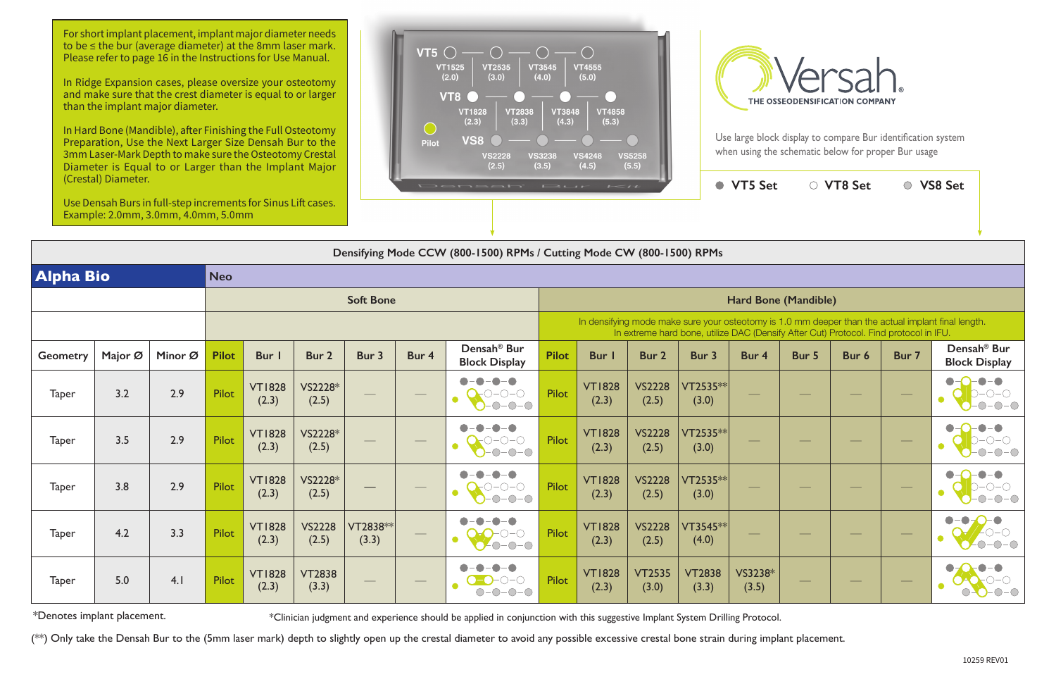| $\sim$                                                                                                                                                                                      |                         |                        | <b>VT5 Set</b>   | $\left(\right)$ | <b>VT8 Set</b> |       | <b>VS8 Set</b>                                  |  |  |  |  |  |  |  |
|---------------------------------------------------------------------------------------------------------------------------------------------------------------------------------------------|-------------------------|------------------------|------------------|-----------------|----------------|-------|-------------------------------------------------|--|--|--|--|--|--|--|
|                                                                                                                                                                                             |                         |                        |                  |                 |                |       |                                                 |  |  |  |  |  |  |  |
|                                                                                                                                                                                             | Mode CW (800-1500) RPMs |                        |                  |                 |                |       |                                                 |  |  |  |  |  |  |  |
|                                                                                                                                                                                             |                         |                        |                  |                 |                |       |                                                 |  |  |  |  |  |  |  |
| <b>Hard Bone (Mandible)</b>                                                                                                                                                                 |                         |                        |                  |                 |                |       |                                                 |  |  |  |  |  |  |  |
| In densifying mode make sure your osteotomy is 1.0 mm deeper than the actual implant final length.<br>In extreme hard bone, utilize DAC (Densify After Cut) Protocol. Find protocol in IFU. |                         |                        |                  |                 |                |       |                                                 |  |  |  |  |  |  |  |
| Bur I                                                                                                                                                                                       | Bur 2                   | Bur 3                  | Bur 4            | Bur 5           | Bur 6          | Bur 7 | Densah <sup>®</sup> Bur<br><b>Block Display</b> |  |  |  |  |  |  |  |
| <b>VT1828</b><br>(2.3)                                                                                                                                                                      | <b>VS2228</b><br>(2.5)  | VT2535**<br>(3.0)      |                  |                 |                |       |                                                 |  |  |  |  |  |  |  |
| <b>VT1828</b><br>(2.3)                                                                                                                                                                      | <b>VS2228</b><br>(2.5)  | VT2535**<br>(3.0)      |                  |                 |                |       |                                                 |  |  |  |  |  |  |  |
| <b>VT1828</b><br>(2.3)                                                                                                                                                                      | <b>VS2228</b><br>(2.5)  | VT2535**<br>(3.0)      |                  |                 |                |       |                                                 |  |  |  |  |  |  |  |
| <b>VT1828</b><br>(2.3)                                                                                                                                                                      | <b>VS2228</b><br>(2.5)  | VT3545**<br>(4.0)      |                  |                 |                |       |                                                 |  |  |  |  |  |  |  |
| <b>VT1828</b><br>(2.3)                                                                                                                                                                      | <b>VT2535</b><br>(3.0)  | <b>VT2838</b><br>(3.3) | VS3238*<br>(3.5) |                 |                |       |                                                 |  |  |  |  |  |  |  |

**Densifying Mode CCW (800-1500) RPMs / Cutting Mode CW (800-1500) RPMs**

| <b>Alpha Bio</b> |         |         | <b>Neo</b>   |                        |                        |                    |                                |                                                 |                                                                                                                                                                                             |                        |                        |                        |                  |       |       |        |                                                 |
|------------------|---------|---------|--------------|------------------------|------------------------|--------------------|--------------------------------|-------------------------------------------------|---------------------------------------------------------------------------------------------------------------------------------------------------------------------------------------------|------------------------|------------------------|------------------------|------------------|-------|-------|--------|-------------------------------------------------|
|                  |         |         |              |                        |                        | <b>Soft Bone</b>   |                                |                                                 | Hard Bone (Mandible)                                                                                                                                                                        |                        |                        |                        |                  |       |       |        |                                                 |
|                  |         |         |              |                        |                        |                    |                                |                                                 | In densifying mode make sure your osteotomy is 1.0 mm deeper than the actual implant final length.<br>In extreme hard bone, utilize DAC (Densify After Cut) Protocol. Find protocol in IFU. |                        |                        |                        |                  |       |       |        |                                                 |
| <b>Geometry</b>  | Major Ø | Minor Ø | <b>Pilot</b> | Bur I                  | Bur 2                  | Bur 3              | Bur 4                          | Densah <sup>®</sup> Bur<br><b>Block Display</b> | <b>Pilot</b>                                                                                                                                                                                | <b>Bur</b> I           | Bur 2                  | Bur 3                  | Bur 4            | Bur 5 | Bur 6 | Bur 7  | Densah <sup>®</sup> Bur<br><b>Block Display</b> |
| <b>Taper</b>     | 3.2     | 2.9     | Pilot        | <b>VT1828</b><br>(2.3) | VS2228*<br>(2.5)       |                    |                                | D-0-C<br>$\bullet$<br>$-O$ - $O$<br>$\bigcirc$  | <b>Pilot</b>                                                                                                                                                                                | <b>VT1828</b><br>(2.3) | <b>VS2228</b><br>(2.5) | VT2535**<br>(3.0)      |                  |       |       | $\sim$ |                                                 |
| <b>Taper</b>     | 3.5     | 2.9     | Pilot        | <b>VT1828</b><br>(2.3) | VS2228*<br>(2.5)       |                    | $\overbrace{\hspace{27mm}}^{}$ | $\bullet$<br>$ \bigcirc$ $ \bigcirc$            | Pilot                                                                                                                                                                                       | <b>VT1828</b><br>(2.3) | <b>VS2228</b><br>(2.5) | $VT2535**$<br>(3.0)    |                  |       |       |        |                                                 |
| <b>Taper</b>     | 3.8     | 2.9     | Pilot        | <b>VT1828</b><br>(2.3) | VS2228*<br>(2.5)       |                    | $\overbrace{\hspace{27mm}}^{}$ | $\bullet$<br>$\bigcap -\bigcap$                 | Pilot                                                                                                                                                                                       | <b>VT1828</b><br>(2.3) | <b>VS2228</b><br>(2.5) | $VT2535**$<br>(3.0)    |                  |       |       |        |                                                 |
| <b>Taper</b>     | 4.2     | 3.3     | Pilot        | <b>VT1828</b><br>(2.3) | <b>VS2228</b><br>(2.5) | VT2838 **<br>(3.3) |                                | $\bigcap -\bigcap$                              | Pilot                                                                                                                                                                                       | <b>VT1828</b><br>(2.3) | <b>VS2228</b><br>(2.5) | $VT3545**$<br>(4.0)    |                  |       |       |        |                                                 |
| <b>Taper</b>     | 5.0     | 4.1     | Pilot        | <b>VT1828</b><br>(2.3) | <b>VT2838</b><br>(3.3) |                    |                                |                                                 | Pilot                                                                                                                                                                                       | <b>VT1828</b><br>(2.3) | <b>VT2535</b><br>(3.0) | <b>VT2838</b><br>(3.3) | VS3238*<br>(3.5) |       |       |        |                                                 |

\*Denotes implant placement.

\*Clinician judgment and experience should be applied in conjunction with this suggestive Implant System Drilling Protocol.

(\*\*) Only take the Densah Bur to the (5mm laser mark) depth to slightly open up the crestal diameter to avoid any possible excessive crestal bone strain during implant placement.

For short implant placement, implant major diameter needs to be ≤ the bur (average diameter) at the 8mm laser mark. Please refer to page 16 in the Instructions for Use Manual.

In Ridge Expansion cases, please oversize your osteotomy and make sure that the crest diameter is equal to or larger than the implant major diameter.

In Hard Bone (Mandible), after Finishing the Full Osteotomy Preparation, Use the Next Larger Size Densah Bur to the 3mm Laser-Mark Depth to make sure the Osteotomy Crestal Diameter is Equal to or Larger than the Implant Major (Crestal) Diameter.

Use Densah Burs in full-step increments for Sinus Lift cases. Example: 2.0mm, 3.0mm, 4.0mm, 5.0mm





Use large block display to compare Bur identification system when using the schematic below for proper Bur usage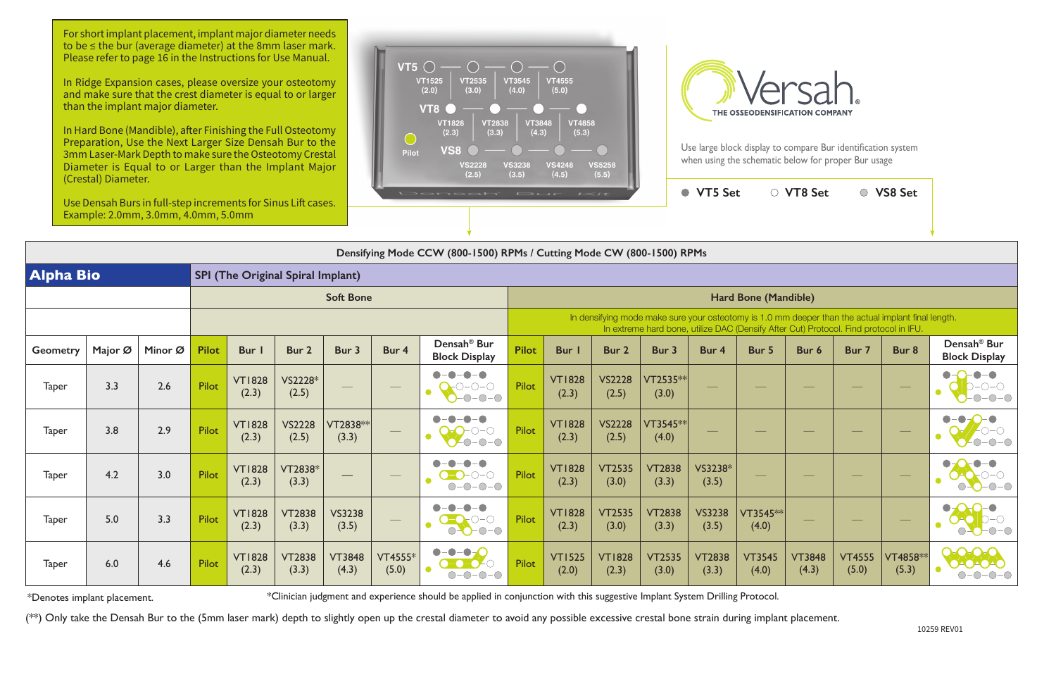Use large block display to compare Bur identification system when using the schematic below for proper Bur usage



|                  | Densifying Mode CCW (800-1500) RPMs / Cutting Mode CW (800-1500) RPMs |         |              |                        |                                          |                          |                          |                                                                      |                                                                                                                                                                                             |                        |                        |                        |                                 |                        |                          |                                                                                                                                                                                                                                                                                                                                                                                                                                                                            |                                 |                                                 |
|------------------|-----------------------------------------------------------------------|---------|--------------|------------------------|------------------------------------------|--------------------------|--------------------------|----------------------------------------------------------------------|---------------------------------------------------------------------------------------------------------------------------------------------------------------------------------------------|------------------------|------------------------|------------------------|---------------------------------|------------------------|--------------------------|----------------------------------------------------------------------------------------------------------------------------------------------------------------------------------------------------------------------------------------------------------------------------------------------------------------------------------------------------------------------------------------------------------------------------------------------------------------------------|---------------------------------|-------------------------------------------------|
| <b>Alpha Bio</b> |                                                                       |         |              |                        | <b>SPI (The Original Spiral Implant)</b> |                          |                          |                                                                      |                                                                                                                                                                                             |                        |                        |                        |                                 |                        |                          |                                                                                                                                                                                                                                                                                                                                                                                                                                                                            |                                 |                                                 |
|                  |                                                                       |         |              |                        |                                          | <b>Soft Bone</b>         |                          |                                                                      | Hard Bone (Mandible)                                                                                                                                                                        |                        |                        |                        |                                 |                        |                          |                                                                                                                                                                                                                                                                                                                                                                                                                                                                            |                                 |                                                 |
|                  |                                                                       |         |              |                        |                                          |                          |                          |                                                                      | In densifying mode make sure your osteotomy is 1.0 mm deeper than the actual implant final length.<br>In extreme hard bone, utilize DAC (Densify After Cut) Protocol. Find protocol in IFU. |                        |                        |                        |                                 |                        |                          |                                                                                                                                                                                                                                                                                                                                                                                                                                                                            |                                 |                                                 |
| <b>Geometry</b>  | Major Ø                                                               | Minor Ø | <b>Pilot</b> | Bur                    | Bur 2                                    | Bur 3                    | Bur 4                    | Densah <sup>®</sup> Bur<br><b>Block Display</b>                      | <b>Pilot</b>                                                                                                                                                                                | <b>Bur</b>             | Bur 2                  | Bur 3                  | Bur 4                           | Bur 5                  | Bur 6                    | Bur 7                                                                                                                                                                                                                                                                                                                                                                                                                                                                      | Bur 8                           | Densah <sup>®</sup> Bur<br><b>Block Display</b> |
| <b>Taper</b>     | 3.3                                                                   | 2.6     | Pilot        | <b>VT1828</b><br>(2.3) | VS2228*<br>(2.5)                         |                          | $\overline{\phantom{a}}$ | $-\bullet-\bullet$<br>$\sum_{n=0}^{\infty}$<br>$\bullet$<br>$-0-0-0$ | Pilot                                                                                                                                                                                       | <b>VT1828</b><br>(2.3) | <b>VS2228</b><br>(2.5) | $VT2535**$<br>(3.0)    | $\overline{\phantom{m}}$        | $\hspace{0.05cm}$      | $\overline{\phantom{a}}$ | $\frac{1}{2}$                                                                                                                                                                                                                                                                                                                                                                                                                                                              | $\hspace{0.1mm}-\hspace{0.1mm}$ | $-0-0-0$                                        |
| <b>Taper</b>     | 3.8                                                                   | 2.9     | Pilot        | <b>VT1828</b><br>(2.3) | <b>VS2228</b><br>(2.5)                   | VT2838 **<br>(3.3)       |                          | $\mathbf{O}\text{-}\mathbf{O}\text{-}$<br>$-0-0-0$                   | Pilot                                                                                                                                                                                       | <b>VT1828</b><br>(2.3) | <b>VS2228</b><br>(2.5) | $VT3545**$<br>(4.0)    | $\hspace{0.1mm}-\hspace{0.1mm}$ | __                     |                          | $\frac{1}{2} \left( \frac{1}{2} \right) \left( \frac{1}{2} \right) \left( \frac{1}{2} \right) \left( \frac{1}{2} \right) \left( \frac{1}{2} \right) \left( \frac{1}{2} \right) \left( \frac{1}{2} \right) \left( \frac{1}{2} \right) \left( \frac{1}{2} \right) \left( \frac{1}{2} \right) \left( \frac{1}{2} \right) \left( \frac{1}{2} \right) \left( \frac{1}{2} \right) \left( \frac{1}{2} \right) \left( \frac{1}{2} \right) \left( \frac{1}{2} \right) \left( \frac$ | $\qquad \qquad - \qquad$        | $\bullet$<br>$\neg$                             |
| <b>Taper</b>     | 4.2                                                                   | 3.0     | Pilot        | <b>VT1828</b><br>(2.3) | VT2838*<br>(3.3)                         | $\overline{\phantom{m}}$ | $\hspace{0.1cm}$         | $O-O-O-O$                                                            | Pilot                                                                                                                                                                                       | <b>VT1828</b><br>(2.3) | <b>VT2535</b><br>(3.0) | <b>VT2838</b><br>(3.3) | VS3238*<br>(3.5)                | $\hspace{0.1cm}$       | __                       | $\frac{1}{2} \left( \frac{1}{2} \right) \left( \frac{1}{2} \right) \left( \frac{1}{2} \right) \left( \frac{1}{2} \right) \left( \frac{1}{2} \right) \left( \frac{1}{2} \right) \left( \frac{1}{2} \right) \left( \frac{1}{2} \right) \left( \frac{1}{2} \right) \left( \frac{1}{2} \right) \left( \frac{1}{2} \right) \left( \frac{1}{2} \right) \left( \frac{1}{2} \right) \left( \frac{1}{2} \right) \left( \frac{1}{2} \right) \left( \frac{1}{2} \right) \left( \frac$ | $\qquad \qquad - \qquad$        |                                                 |
| <b>Taper</b>     | 5.0                                                                   | 3.3     | Pilot        | <b>VT1828</b><br>(2.3) | <b>VT2838</b><br>(3.3)                   | <b>VS3238</b><br>(3.5)   |                          | $\blacksquare$<br>$-O$ - $O$<br>$\bigcirc$                           | Pilot                                                                                                                                                                                       | <b>VT1828</b><br>(2.3) | <b>VT2535</b><br>(3.0) | <b>VT2838</b><br>(3.3) | <b>VS3238</b><br>(3.5)          | VT3545**<br>(4.0)      |                          | $\overline{\phantom{a}}$                                                                                                                                                                                                                                                                                                                                                                                                                                                   |                                 | O<br>$\bigcirc - \bigcirc$                      |
| <b>Taper</b>     | 6.0                                                                   | 4.6     | Pilot        | <b>VT1828</b><br>(2.3) | <b>VT2838</b><br>(3.3)                   | <b>VT3848</b><br>(4.3)   | $VT4555*$<br>(5.0)       | $-\bullet$ -<br><b>-0-C</b><br>$\bullet$<br>$\bigcap -\bigcap$       | Pilot                                                                                                                                                                                       | <b>VT1525</b><br>(2.0) | <b>VT1828</b><br>(2.3) | <b>VT2535</b><br>(3.0) | <b>VT2838</b><br>(3.3)          | <b>VT3545</b><br>(4.0) | <b>VT3848</b><br>(4.3)   | <b>VT4555</b><br>(5.0)                                                                                                                                                                                                                                                                                                                                                                                                                                                     | VT4858 **<br>(5.3)              |                                                 |

For short implant placement, implant major diameter needs to be ≤ the bur (average diameter) at the 8mm laser mark. Please refer to page 16 in the Instructions for Use Manual.

\*Denotes implant placement. \*Clinician judgment and experience should be applied in conjunction with this suggestive Implant System Drilling Protocol.

(\*\*) Only take the Densah Bur to the (5mm laser mark) depth to slightly open up the crestal diameter to avoid any possible excessive crestal bone strain during implant placement.

In Ridge Expansion cases, please oversize your osteotomy and make sure that the crest diameter is equal to or larger than the implant major diameter.

In Hard Bone (Mandible), after Finishing the Full Osteotomy Preparation, Use the Next Larger Size Densah Bur to the 3mm Laser-Mark Depth to make sure the Osteotomy Crestal Diameter is Equal to or Larger than the Implant Major (Crestal) Diameter.

Use Densah Burs in full-step increments for Sinus Lift cases. Example: 2.0mm, 3.0mm, 4.0mm, 5.0mm



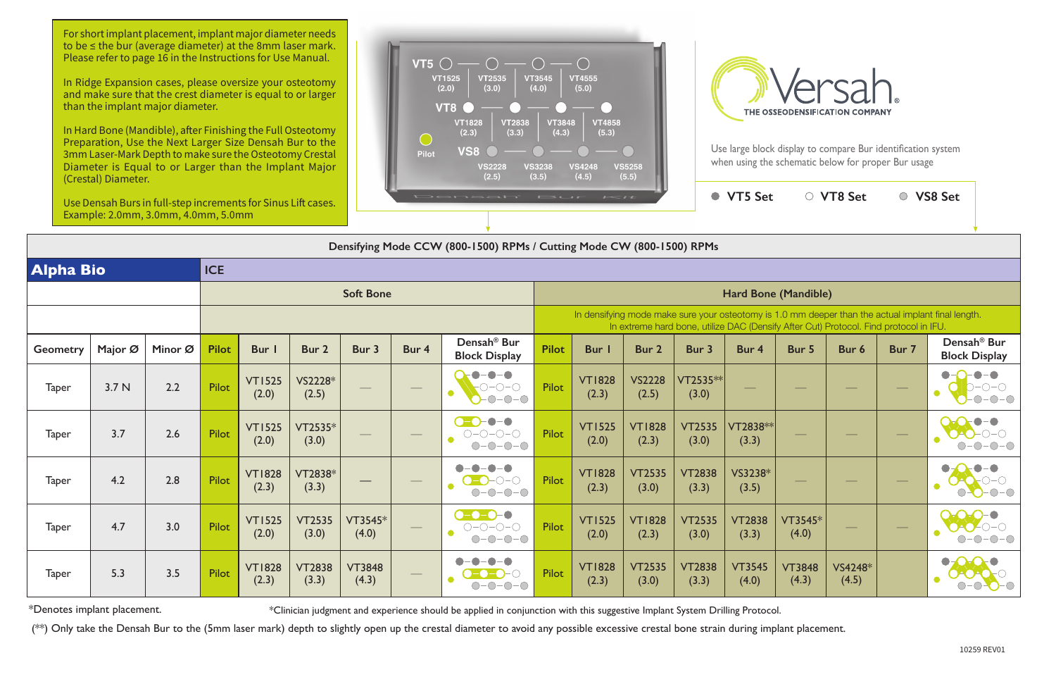



|                    | <b>VT5 Set</b>                                                                                                                                  |                        | ○ VT8 Set        |       | ○ VS8 Set                                       |  |
|--------------------|-------------------------------------------------------------------------------------------------------------------------------------------------|------------------------|------------------|-------|-------------------------------------------------|--|
| <b>RPMs</b>        |                                                                                                                                                 |                        |                  |       |                                                 |  |
|                    |                                                                                                                                                 |                        |                  |       |                                                 |  |
|                    | Hard Bone (Mandible)                                                                                                                            |                        |                  |       |                                                 |  |
|                    | re your osteotomy is 1.0 mm deeper than the actual implant final length.<br>ne, utilize DAC (Densify After Cut) Protocol. Find protocol in IFU. |                        |                  |       |                                                 |  |
| 3ur 3              | Bur 4                                                                                                                                           | Bur 5                  | Bur <sub>6</sub> | Bur 7 | Densah <sup>®</sup> Bur<br><b>Block Display</b> |  |
| $72535**$<br>(3.0) |                                                                                                                                                 |                        |                  |       |                                                 |  |
| T2535<br>(3.0)     | VT2838**<br>(3.3)                                                                                                                               |                        |                  |       |                                                 |  |
| T2838<br>(3.3)     | VS3238*<br>(3.5)                                                                                                                                |                        |                  |       |                                                 |  |
| T2535<br>(3.0)     | <b>VT2838</b><br>(3.3)                                                                                                                          | VT3545*<br>(4.0)       |                  |       |                                                 |  |
| T2838<br>(3.3)     | <b>VT3545</b><br>(4.0)                                                                                                                          | <b>VT3848</b><br>(4.3) | VS4248*<br>(4.5) |       |                                                 |  |

\*Denotes implant placement.

\*Clinician judgment and experience should be applied in conjunction with this suggestive Implant System Drilling Protocol.

(\*\*) Only take the Densah Bur to the (5mm laser mark) depth to slightly open up the crestal diameter to avoid any possible excessive crestal bone strain during implant placement.

For short implant placement, implant major diameter needs to be ≤ the bur (average diameter) at the 8mm laser mark. Please refer to page 16 in the Instructions for Use Manual.

In Ridge Expansion cases, please oversize your osteotomy and make sure that the crest diameter is equal to or larger than the implant major diameter.

In Hard Bone (Mandible), after Finishing the Full Osteotomy Preparation, Use the Next Larger Size Densah Bur to the 3mm Laser-Mark Depth to make sure the Osteotomy Crestal Diameter is Equal to or Larger than the Implant Major (Crestal) Diameter.

Use Densah Burs in full-step increments for Sinus Lift cases. Example: 2.0mm, 3.0mm, 4.0mm, 5.0mm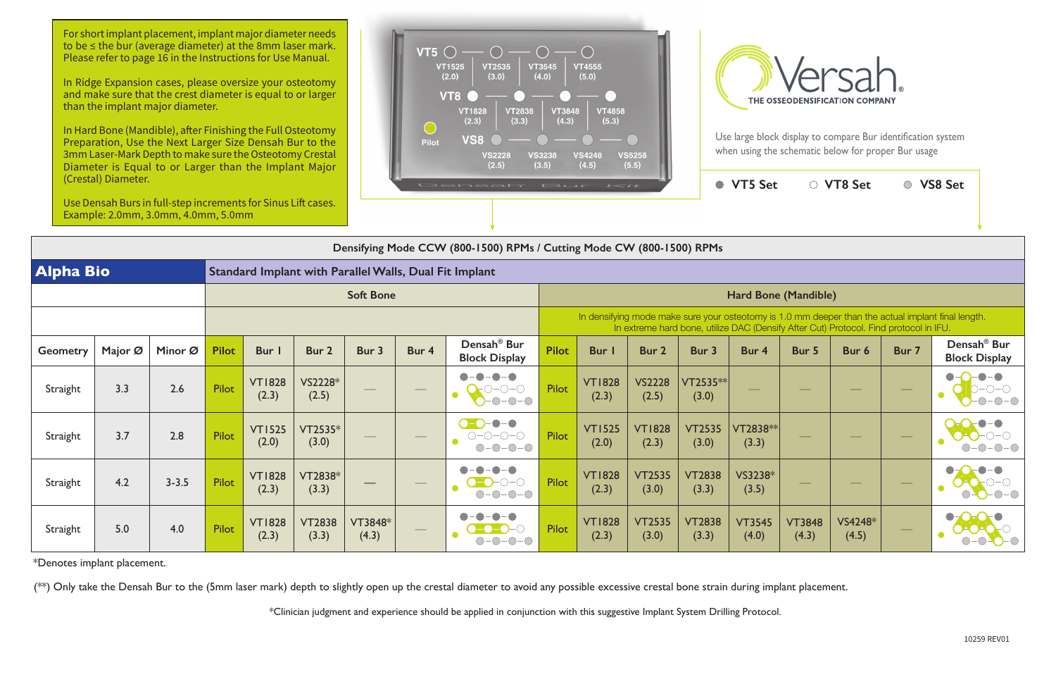| $\overline{\phantom{a}}$                                                                                                                                                                    |                        |                        | <b>VT5 Set</b>         |                        | <b>VT8 Set</b>   |       | <b>VS8 Set</b>                                  |  |  |  |  |  |  |  |
|---------------------------------------------------------------------------------------------------------------------------------------------------------------------------------------------|------------------------|------------------------|------------------------|------------------------|------------------|-------|-------------------------------------------------|--|--|--|--|--|--|--|
|                                                                                                                                                                                             |                        |                        |                        |                        |                  |       |                                                 |  |  |  |  |  |  |  |
| Mode CW (800-1500) RPMs                                                                                                                                                                     |                        |                        |                        |                        |                  |       |                                                 |  |  |  |  |  |  |  |
|                                                                                                                                                                                             |                        |                        |                        |                        |                  |       |                                                 |  |  |  |  |  |  |  |
| Hard Bone (Mandible)                                                                                                                                                                        |                        |                        |                        |                        |                  |       |                                                 |  |  |  |  |  |  |  |
| In densifying mode make sure your osteotomy is 1.0 mm deeper than the actual implant final length.<br>In extreme hard bone, utilize DAC (Densify After Cut) Protocol. Find protocol in IFU. |                        |                        |                        |                        |                  |       |                                                 |  |  |  |  |  |  |  |
| <b>Bur</b> I                                                                                                                                                                                | Bur <sub>2</sub>       | Bur 3                  | Bur 4                  | Bur 5                  | Bur 6            | Bur 7 | Densah <sup>®</sup> Bur<br><b>Block Display</b> |  |  |  |  |  |  |  |
| <b>VT1828</b><br>(2.3)                                                                                                                                                                      | <b>VS2228</b><br>(2.5) | VT2535**<br>(3.0)      |                        |                        |                  |       |                                                 |  |  |  |  |  |  |  |
| <b>VT1525</b><br>(2.0)                                                                                                                                                                      | <b>VT1828</b><br>(2.3) | <b>VT2535</b><br>(3.0) | VT2838**<br>(3.3)      |                        |                  |       |                                                 |  |  |  |  |  |  |  |
| <b>VT1828</b><br>(2.3)                                                                                                                                                                      | <b>VT2535</b><br>(3.0) | <b>VT2838</b><br>(3.3) | VS3238*<br>(3.5)       |                        |                  |       |                                                 |  |  |  |  |  |  |  |
| <b>VT1828</b><br>(2.3)                                                                                                                                                                      | <b>VT2535</b><br>(3.0) | <b>VT2838</b><br>(3.3) | <b>VT3545</b><br>(4.0) | <b>VT3848</b><br>(4.3) | VS4248*<br>(4.5) |       |                                                 |  |  |  |  |  |  |  |

|                  | Densifying Mode CCW (800-1500) RPMs / Cutting Mode CW (800-1500) RPMs |           |              |                        |                        |                  |                   |                                                                               |                                                                                                                                                                                             |                        |                        |                        |                        |                        |                  |                                             |                                                  |
|------------------|-----------------------------------------------------------------------|-----------|--------------|------------------------|------------------------|------------------|-------------------|-------------------------------------------------------------------------------|---------------------------------------------------------------------------------------------------------------------------------------------------------------------------------------------|------------------------|------------------------|------------------------|------------------------|------------------------|------------------|---------------------------------------------|--------------------------------------------------|
| <b>Alpha Bio</b> |                                                                       |           |              |                        |                        |                  |                   | Standard Implant with Parallel Walls, Dual Fit Implant                        |                                                                                                                                                                                             |                        |                        |                        |                        |                        |                  |                                             |                                                  |
|                  |                                                                       |           |              |                        |                        | <b>Soft Bone</b> |                   |                                                                               | Hard Bone (Mandible)                                                                                                                                                                        |                        |                        |                        |                        |                        |                  |                                             |                                                  |
|                  |                                                                       |           |              |                        |                        |                  |                   |                                                                               | In densifying mode make sure your osteotomy is 1.0 mm deeper than the actual implant final length.<br>In extreme hard bone, utilize DAC (Densify After Cut) Protocol. Find protocol in IFU. |                        |                        |                        |                        |                        |                  |                                             |                                                  |
| <b>Geometry</b>  | Major Ø                                                               | Minor Ø   | <b>Pilot</b> | <b>Bur</b>             | Bur 2                  | Bur 3            | Bur 4             | Densah <sup>®</sup> Bur<br><b>Block Display</b>                               | <b>Pilot</b>                                                                                                                                                                                | <b>Bur</b> I           | Bur 2                  | Bur 3                  | Bur 4                  | Bur 5                  | Bur 6            | Bur 7                                       | Densah <sup>®</sup> Bur<br><b>Block Display</b>  |
| Straight         | 3.3                                                                   | 2.6       | <b>Pilot</b> | <b>VT1828</b><br>(2.3) | VS2228*<br>(2.5)       |                  | $\qquad \qquad -$ | $\bullet$                                                                     | <b>Pilot</b>                                                                                                                                                                                | <b>VT1828</b><br>(2.3) | <b>VS2228</b><br>(2.5) | VT2535 **<br>(3.0)     |                        |                        |                  | $\hspace{1.0cm} \overbrace{\hspace{1.0cm}}$ |                                                  |
| Straight         | 3.7                                                                   | 2.8       | <b>Pilot</b> | <b>VT1525</b><br>(2.0) | VT2535*<br>(3.0)       |                  |                   | $\bullet$ – $\bullet$<br>$\bullet$ -O<br>$O-O-O-O$<br>$ \bigcirc$ $ \bigcirc$ | <b>Pilot</b>                                                                                                                                                                                | <b>VT1525</b><br>(2.0) | <b>VT1828</b><br>(2.3) | <b>VT2535</b><br>(3.0) | VT2838 **<br>(3.3)     |                        |                  |                                             |                                                  |
| Straight         | 4.2                                                                   | $3 - 3.5$ | <b>Pilot</b> | <b>VT1828</b><br>(2.3) | VT2838*<br>(3.3)       | __               |                   | $\bullet$<br>$\bigcap -\bigcap$                                               | <b>Pilot</b>                                                                                                                                                                                | <b>VT1828</b><br>(2.3) | <b>VT2535</b><br>(3.0) | <b>VT2838</b><br>(3.3) | VS3238*<br>(3.5)       |                        |                  | $\qquad \qquad - \qquad$                    | $-\bigcirc$ $-\bigcirc$<br>$\bigcirc$ $\bigcirc$ |
| Straight         | 5.0                                                                   | 4.0       | <b>Pilot</b> | <b>VT1828</b><br>(2.3) | <b>VT2838</b><br>(3.3) | VT3848*<br>(4.3) |                   |                                                                               | <b>Pilot</b>                                                                                                                                                                                | <b>VT1828</b><br>(2.3) | <b>VT2535</b><br>(3.0) | <b>VT2838</b><br>(3.3) | <b>VT3545</b><br>(4.0) | <b>VT3848</b><br>(4.3) | VS4248*<br>(4.5) |                                             |                                                  |

\*Denotes implant placement.

(\*\*) Only take the Densah Bur to the (5mm laser mark) depth to slightly open up the crestal diameter to avoid any possible excessive crestal bone strain during implant placement.

\*Clinician judgment and experience should be applied in conjunction with this suggestive Implant System Drilling Protocol.

For short implant placement, implant major diameter needs to be ≤ the bur (average diameter) at the 8mm laser mark. Please refer to page 16 in the Instructions for Use Manual.

In Ridge Expansion cases, please oversize your osteotomy and make sure that the crest diameter is equal to or larger than the implant major diameter.

In Hard Bone (Mandible), after Finishing the Full Osteotomy Preparation, Use the Next Larger Size Densah Bur to the 3mm Laser-Mark Depth to make sure the Osteotomy Crestal Diameter is Equal to or Larger than the Implant Major (Crestal) Diameter.

Use Densah Burs in full-step increments for Sinus Lift cases. Example: 2.0mm, 3.0mm, 4.0mm, 5.0mm

![](_page_3_Figure_4.jpeg)

![](_page_3_Picture_5.jpeg)

Use large block display to compare Bur identification system when using the schematic below for proper Bur usage